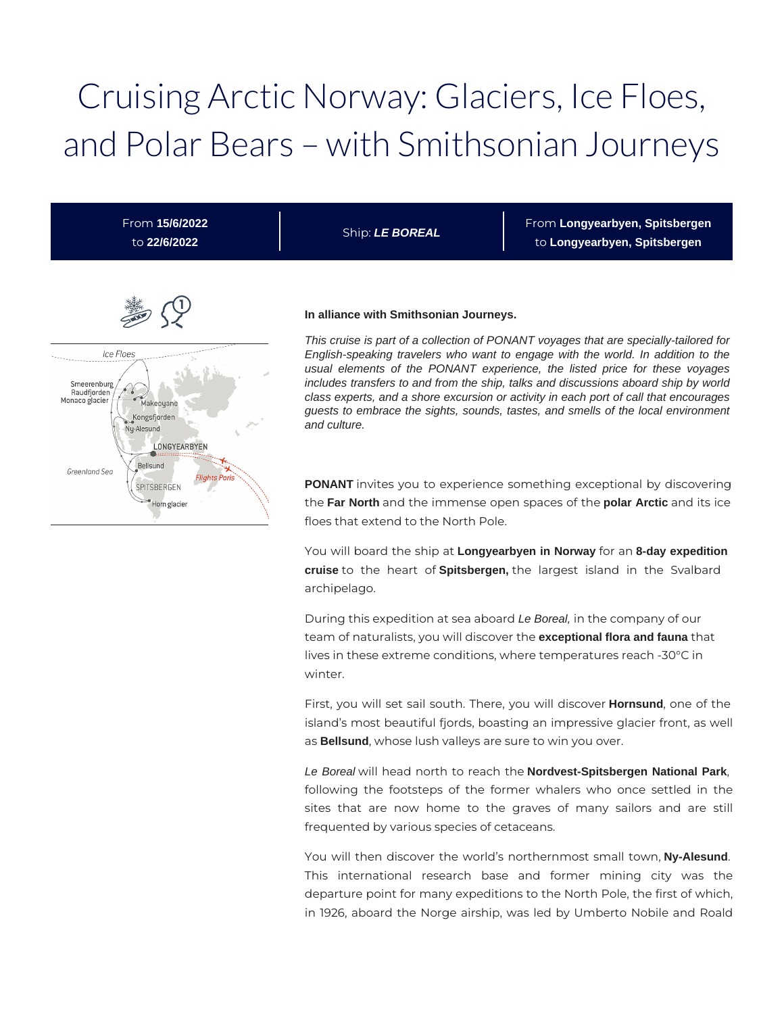# Cruising Arctic Norway: Glaciers, Ice Floes, and Polar Bears – with Smithsonian Journeys

From **15/6/2022** to **22/6/2022**

Ship: **LE BOREAL**

From **Longyearbyen, Spitsbergen** to **Longyearbyen, Spitsbergen**



#### **In alliance with Smithsonian Journeys.**

This cruise is part of a collection of PONANT voyages that are specially-tailored for English-speaking travelers who want to engage with the world. In addition to the usual elements of the PONANT experience, the listed price for these voyages includes transfers to and from the ship, talks and discussions aboard ship by world class experts, and a shore excursion or activity in each port of call that encourages guests to embrace the sights, sounds, tastes, and smells of the local environment and culture.

**PONANT** invites you to experience something exceptional by discovering the **Far North** and the immense open spaces of the **polar Arctic** and its ice floes that extend to the North Pole.

You will board the ship at **Longyearbyen in Norway** for an **8-day expedition cruise** to the heart of **Spitsbergen,** the largest island in the Svalbard archipelago.

During this expedition at sea aboard Le Boreal, in the company of our team of naturalists, you will discover the **exceptional flora and fauna** that lives in these extreme conditions, where temperatures reach -30°C in winter.

First, you will set sail south. There, you will discover **Hornsund**, one of the island's most beautiful fjords, boasting an impressive glacier front, as well as **Bellsund**, whose lush valleys are sure to win you over.

Le Boreal will head north to reach the **Nordvest-Spitsbergen National Park**, following the footsteps of the former whalers who once settled in the sites that are now home to the graves of many sailors and are still frequented by various species of cetaceans.

You will then discover the world's northernmost small town, **Ny-Alesund**. This international research base and former mining city was the departure point for many expeditions to the North Pole, the first of which, in 1926, aboard the Norge airship, was led by Umberto Nobile and Roald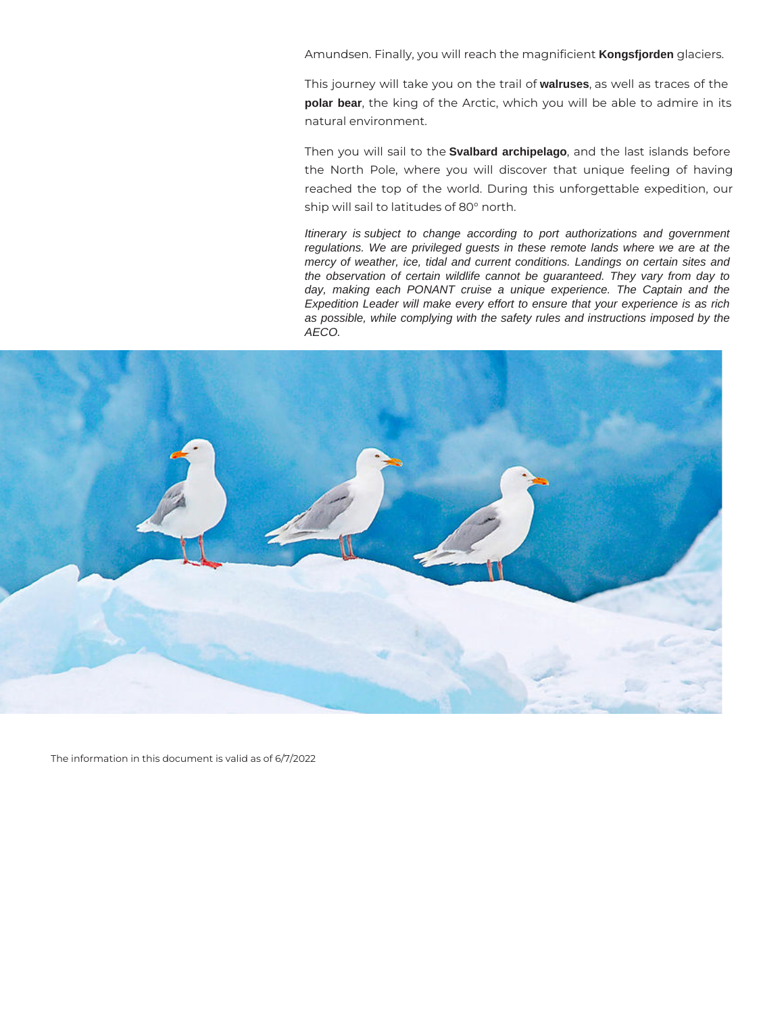Amundsen. Finally, you will reach the magnificient **Kongsfjorden** glaciers.

This journey will take you on the trail of **walruses**, as well as traces of the **polar bear**, the king of the Arctic, which you will be able to admire in its natural environment.

Then you will sail to the **Svalbard archipelago**, and the last islands before the North Pole, where you will discover that unique feeling of having reached the top of the world. During this unforgettable expedition, our ship will sail to latitudes of 80° north.

Itinerary is subject to change according to port authorizations and government regulations. We are privileged guests in these remote lands where we are at the mercy of weather, ice, tidal and current conditions. Landings on certain sites and the observation of certain wildlife cannot be guaranteed. They vary from day to day, making each PONANT cruise a unique experience. The Captain and the Expedition Leader will make every effort to ensure that your experience is as rich as possible, while complying with the safety rules and instructions imposed by the AECO.



The information in this document is valid as of 6/7/2022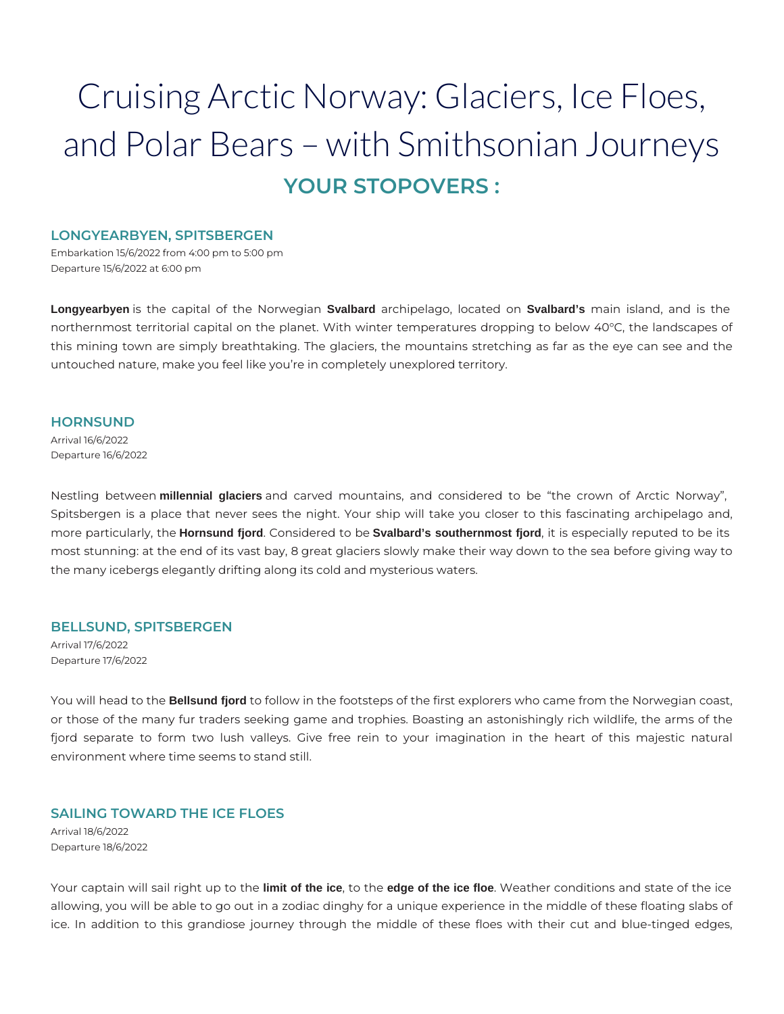# Cruising Arctic Norway: Glaciers, Ice Floes, and Polar Bears – with Smithsonian Journeys **YOUR STOPOVERS :**

#### **LONGYEARBYEN, SPITSBERGEN**

Embarkation 15/6/2022 from 4:00 pm to 5:00 pm Departure 15/6/2022 at 6:00 pm

**Longyearbyen** is the capital of the Norwegian **Svalbard** archipelago, located on **Svalbard's** main island, and is the northernmost territorial capital on the planet. With winter temperatures dropping to below 40°C, the landscapes of this mining town are simply breathtaking. The glaciers, the mountains stretching as far as the eye can see and the untouched nature, make you feel like you're in completely unexplored territory.

#### **HORNSUND**

Arrival 16/6/2022 Departure 16/6/2022

Nestling between **millennial glaciers** and carved mountains, and considered to be "the crown of Arctic Norway", Spitsbergen is a place that never sees the night. Your ship will take you closer to this fascinating archipelago and, more particularly, the **Hornsund fjord**. Considered to be **Svalbard's southernmost fjord**, it is especially reputed to be its most stunning: at the end of its vast bay, 8 great glaciers slowly make their way down to the sea before giving way to the many icebergs elegantly drifting along its cold and mysterious waters.

# **BELLSUND, SPITSBERGEN**

Arrival 17/6/2022 Departure 17/6/2022

You will head to the **Bellsund fjord** to follow in the footsteps of the first explorers who came from the Norwegian coast, or those of the many fur traders seeking game and trophies. Boasting an astonishingly rich wildlife, the arms of the fjord separate to form two lush valleys. Give free rein to your imagination in the heart of this majestic natural environment where time seems to stand still.

# **SAILING TOWARD THE ICE FLOES**

Arrival 18/6/2022 Departure 18/6/2022

Your captain will sail right up to the **limit of the ice**, to the **edge of the ice floe**. Weather conditions and state of the ice allowing, you will be able to go out in a zodiac dinghy for a unique experience in the middle of these floating slabs of ice. In addition to this grandiose journey through the middle of these floes with their cut and blue-tinged edges,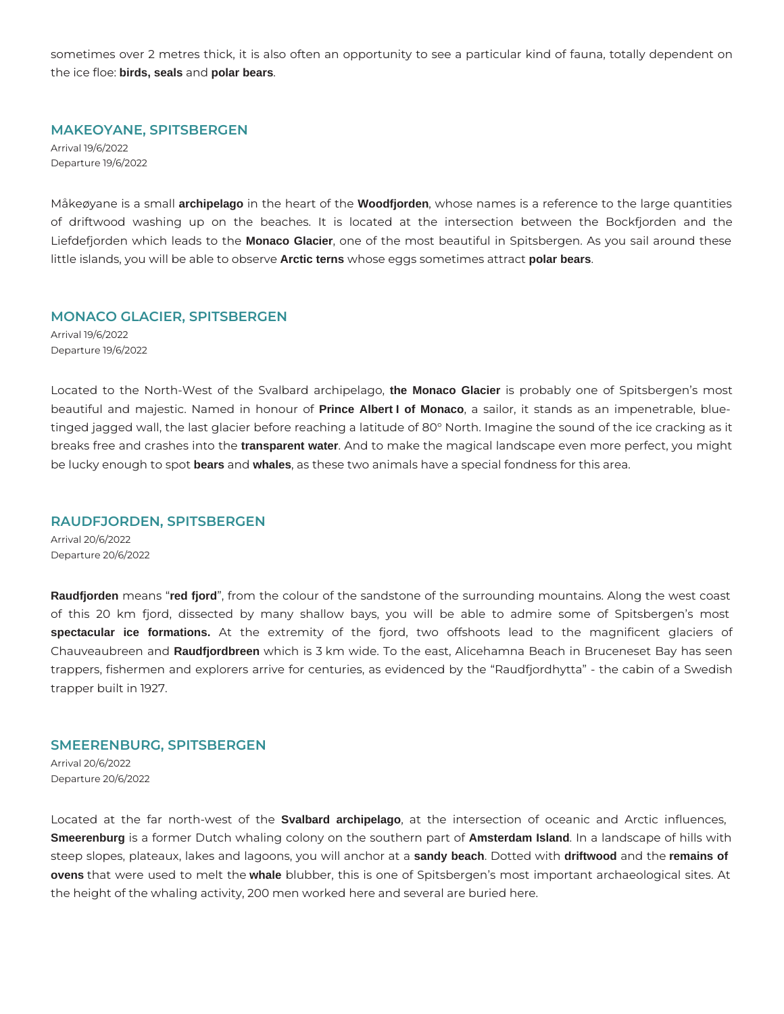sometimes over 2 metres thick, it is also often an opportunity to see a particular kind of fauna, totally dependent on the ice floe: **birds, seals** and **polar bears**.

# **MAKEOYANE, SPITSBERGEN**

Arrival 19/6/2022 Departure 19/6/2022

Måkeøyane is a small **archipelago** in the heart of the **Woodfjorden**, whose names is a reference to the large quantities of driftwood washing up on the beaches. It is located at the intersection between the Bockfjorden and the Liefdefjorden which leads to the **Monaco Glacier**, one of the most beautiful in Spitsbergen. As you sail around these little islands, you will be able to observe **Arctic terns** whose eggs sometimes attract **polar bears**.

#### **MONACO GLACIER, SPITSBERGEN**

Arrival 19/6/2022 Departure 19/6/2022

Located to the North-West of the Svalbard archipelago, **the Monaco Glacier** is probably one of Spitsbergen's most beautiful and majestic. Named in honour of **Prince Albert I of Monaco**, a sailor, it stands as an impenetrable, bluetinged jagged wall, the last glacier before reaching a latitude of 80° North. Imagine the sound of the ice cracking as it breaks free and crashes into the **transparent water**. And to make the magical landscape even more perfect, you might be lucky enough to spot **bears** and **whales**, as these two animals have a special fondness for this area.

# **RAUDFJORDEN, SPITSBERGEN**

Arrival 20/6/2022 Departure 20/6/2022

**Raudfjorden** means "**red fjord**", from the colour of the sandstone of the surrounding mountains. Along the west coast of this 20 km fjord, dissected by many shallow bays, you will be able to admire some of Spitsbergen's most **spectacular ice formations.** At the extremity of the fjord, two offshoots lead to the magnificent glaciers of Chauveaubreen and **Raudfjordbreen** which is 3 km wide. To the east, Alicehamna Beach in Bruceneset Bay has seen trappers, fishermen and explorers arrive for centuries, as evidenced by the "Raudfjordhytta" - the cabin of a Swedish trapper built in 1927.

# **SMEERENBURG, SPITSBERGEN**

Arrival 20/6/2022 Departure 20/6/2022

Located at the far north-west of the **Svalbard archipelago**, at the intersection of oceanic and Arctic influences, **Smeerenburg** is a former Dutch whaling colony on the southern part of **Amsterdam Island**. In a landscape of hills with steep slopes, plateaux, lakes and lagoons, you will anchor at a **sandy beach**. Dotted with **driftwood** and the **remains of ovens** that were used to melt the **whale** blubber, this is one of Spitsbergen's most important archaeological sites. At the height of the whaling activity, 200 men worked here and several are buried here.